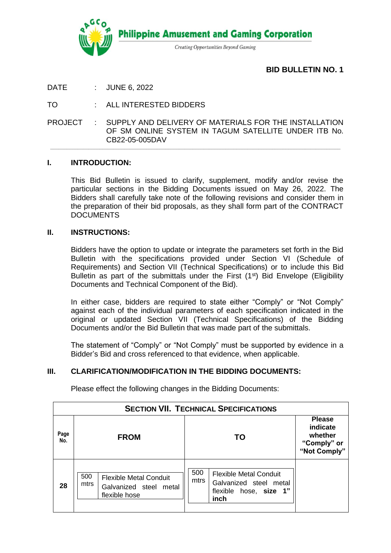

**Philippine Amusement and Gaming Corporation** 

Creating Opportunities Beyond Gaming

**BID BULLETIN NO. 1**

DATE : JUNE 6, 2022

TO : ALL INTERESTED BIDDERS

PROJECT : SUPPLY AND DELIVERY OF MATERIALS FOR THE INSTALLATION OF SM ONLINE SYSTEM IN TAGUM SATELLITE UNDER ITB No. CB22-05-005DAV

**\_\_\_\_\_\_\_\_\_\_\_\_\_\_\_\_\_\_\_\_\_\_\_\_\_\_\_\_\_\_\_\_\_\_\_\_\_\_\_\_\_\_\_\_\_\_\_\_\_\_\_\_\_\_\_\_\_\_\_\_\_\_\_\_\_\_\_\_\_\_\_\_\_\_\_\_\_\_\_\_\_\_\_\_\_\_\_\_\_\_\_\_\_\_\_\_\_\_\_\_\_\_\_\_\_\_**

#### **I. INTRODUCTION:**

This Bid Bulletin is issued to clarify, supplement, modify and/or revise the particular sections in the Bidding Documents issued on May 26, 2022. The Bidders shall carefully take note of the following revisions and consider them in the preparation of their bid proposals, as they shall form part of the CONTRACT **DOCUMENTS** 

#### **II. INSTRUCTIONS:**

Bidders have the option to update or integrate the parameters set forth in the Bid Bulletin with the specifications provided under Section VI (Schedule of Requirements) and Section VII (Technical Specifications) or to include this Bid Bulletin as part of the submittals under the First (1<sup>st</sup>) Bid Envelope (Eligibility Documents and Technical Component of the Bid).

In either case, bidders are required to state either "Comply" or "Not Comply" against each of the individual parameters of each specification indicated in the original or updated Section VII (Technical Specifications) of the Bidding Documents and/or the Bid Bulletin that was made part of the submittals.

The statement of "Comply" or "Not Comply" must be supported by evidence in a Bidder's Bid and cross referenced to that evidence, when applicable.

## **III. CLARIFICATION/MODIFICATION IN THE BIDDING DOCUMENTS:**

| <b>SECTION VII. TECHNICAL SPECIFICATIONS</b> |                                                                                         |                                                                                                          |                                                                     |  |  |  |  |  |  |
|----------------------------------------------|-----------------------------------------------------------------------------------------|----------------------------------------------------------------------------------------------------------|---------------------------------------------------------------------|--|--|--|--|--|--|
| Page<br>No.                                  | <b>FROM</b>                                                                             | ΤO                                                                                                       | <b>Please</b><br>indicate<br>whether<br>"Comply" or<br>"Not Comply" |  |  |  |  |  |  |
| 28                                           | 500<br><b>Flexible Metal Conduit</b><br>mtrs<br>Galvanized steel metal<br>flexible hose | 500<br><b>Flexible Metal Conduit</b><br>mtrs<br>Galvanized steel metal<br>flexible hose, size 1"<br>inch |                                                                     |  |  |  |  |  |  |

Please effect the following changes in the Bidding Documents: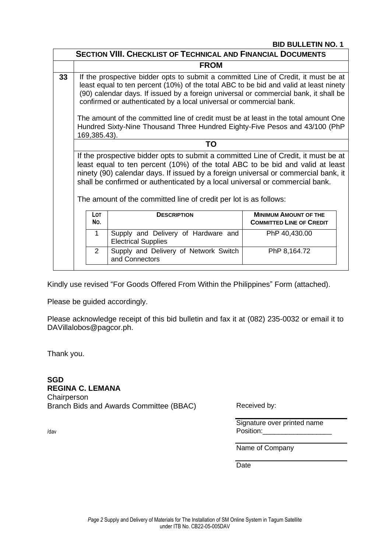### **BID BULLETIN NO. 1**

| <b>SECTION VIII. CHECKLIST OF TECHNICAL AND FINANCIAL DOCUMENTS</b> |                                                                                                                                                                                                                                                                                                                                                                                                                 |                                                                                    |  |  |  |  |  |  |
|---------------------------------------------------------------------|-----------------------------------------------------------------------------------------------------------------------------------------------------------------------------------------------------------------------------------------------------------------------------------------------------------------------------------------------------------------------------------------------------------------|------------------------------------------------------------------------------------|--|--|--|--|--|--|
|                                                                     | <b>FROM</b>                                                                                                                                                                                                                                                                                                                                                                                                     |                                                                                    |  |  |  |  |  |  |
| 33                                                                  | If the prospective bidder opts to submit a committed Line of Credit, it must be at<br>least equal to ten percent (10%) of the total ABC to be bid and valid at least ninety<br>(90) calendar days. If issued by a foreign universal or commercial bank, it shall be<br>confirmed or authenticated by a local universal or commercial bank.                                                                      |                                                                                    |  |  |  |  |  |  |
|                                                                     | The amount of the committed line of credit must be at least in the total amount One<br>Hundred Sixty-Nine Thousand Three Hundred Eighty-Five Pesos and 43/100 (PhP<br>169,385.43).                                                                                                                                                                                                                              |                                                                                    |  |  |  |  |  |  |
|                                                                     | TO                                                                                                                                                                                                                                                                                                                                                                                                              |                                                                                    |  |  |  |  |  |  |
|                                                                     | If the prospective bidder opts to submit a committed Line of Credit, it must be at<br>least equal to ten percent (10%) of the total ABC to be bid and valid at least<br>ninety (90) calendar days. If issued by a foreign universal or commercial bank, it<br>shall be confirmed or authenticated by a local universal or commercial bank.<br>The amount of the committed line of credit per lot is as follows: |                                                                                    |  |  |  |  |  |  |
|                                                                     |                                                                                                                                                                                                                                                                                                                                                                                                                 |                                                                                    |  |  |  |  |  |  |
| <b>LOT</b><br><b>DESCRIPTION</b><br>No.                             |                                                                                                                                                                                                                                                                                                                                                                                                                 | <b>MINIMUM AMOUNT OF THE</b><br><b>COMMITTED LINE OF CREDIT</b>                    |  |  |  |  |  |  |
|                                                                     | $\mathbf 1$                                                                                                                                                                                                                                                                                                                                                                                                     | Supply and Delivery of Hardware and<br>PhP 40,430.00<br><b>Electrical Supplies</b> |  |  |  |  |  |  |
|                                                                     | $\overline{2}$<br>Supply and Delivery of Network Switch<br>PhP 8,164.72<br>and Connectors                                                                                                                                                                                                                                                                                                                       |                                                                                    |  |  |  |  |  |  |

Kindly use revised "For Goods Offered From Within the Philippines" Form (attached).

Please be guided accordingly.

Please acknowledge receipt of this bid bulletin and fax it at (082) 235-0032 or email it to DAVillalobos@pagcor.ph.

Thank you.

**SGD REGINA C. LEMANA Chairperson** Branch Bids and Awards Committee (BBAC)

Received by:

Signature over printed name Position:

Name of Company

**Date** 

/dav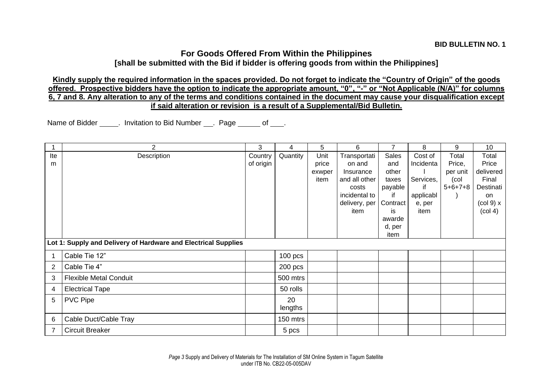# **For Goods Offered From Within the Philippines**

**[shall be submitted with the Bid if bidder is offering goods from within the Philippines]**

**Kindly supply the required information in the spaces provided. Do not forget to indicate the "Country of Origin" of the goods offered. Prospective bidders have the option to indicate the appropriate amount, "0", "-" or "Not Applicable (N/A)" for columns 6, 7 and 8. Any alteration to any of the terms and conditions contained in the document may cause your disqualification except if said alteration or revision is a result of a Supplemental/Bid Bulletin.**

Name of Bidder . Invitation to Bid Number Page of ...

|          | $\overline{2}$                                                 | 3                    | 4             | 5                               | 6                                                             | $\overline{7}$                                   | 8                                       | 9                                                | 10                                                |  |
|----------|----------------------------------------------------------------|----------------------|---------------|---------------------------------|---------------------------------------------------------------|--------------------------------------------------|-----------------------------------------|--------------------------------------------------|---------------------------------------------------|--|
| Ite<br>m | Description                                                    | Country<br>of origin | Quantity      | Unit<br>price<br>exwper<br>item | Transportati<br>on and<br>Insurance<br>and all other<br>costs | <b>Sales</b><br>and<br>other<br>taxes<br>payable | Cost of<br>Incidenta<br>Services,<br>if | Total<br>Price,<br>per unit<br>(col<br>$5+6+7+8$ | Total<br>Price<br>delivered<br>Final<br>Destinati |  |
|          |                                                                |                      |               |                                 | incidental to<br>delivery, per                                | if<br>Contract                                   | applicabl<br>e, per                     |                                                  | <b>on</b><br>$\left(\text{col } 9\right)$ x       |  |
|          |                                                                |                      |               |                                 | item                                                          | is                                               | item                                    |                                                  | $\left(\text{col } 4\right)$                      |  |
|          |                                                                |                      |               |                                 |                                                               | awarde                                           |                                         |                                                  |                                                   |  |
|          |                                                                |                      |               |                                 |                                                               | d, per<br>item                                   |                                         |                                                  |                                                   |  |
|          | Lot 1: Supply and Delivery of Hardware and Electrical Supplies |                      |               |                                 |                                                               |                                                  |                                         |                                                  |                                                   |  |
|          | Cable Tie 12"                                                  |                      | $100$ pcs     |                                 |                                                               |                                                  |                                         |                                                  |                                                   |  |
| 2        | Cable Tie 4"                                                   |                      | $200$ pcs     |                                 |                                                               |                                                  |                                         |                                                  |                                                   |  |
| 3        | <b>Flexible Metal Conduit</b>                                  |                      | 500 mtrs      |                                 |                                                               |                                                  |                                         |                                                  |                                                   |  |
| 4        | <b>Electrical Tape</b>                                         |                      | 50 rolls      |                                 |                                                               |                                                  |                                         |                                                  |                                                   |  |
| 5        | <b>PVC Pipe</b>                                                |                      | 20<br>lengths |                                 |                                                               |                                                  |                                         |                                                  |                                                   |  |
| 6        | Cable Duct/Cable Tray                                          |                      | 150 mtrs      |                                 |                                                               |                                                  |                                         |                                                  |                                                   |  |
| 7        | <b>Circuit Breaker</b>                                         |                      | 5 pcs         |                                 |                                                               |                                                  |                                         |                                                  |                                                   |  |